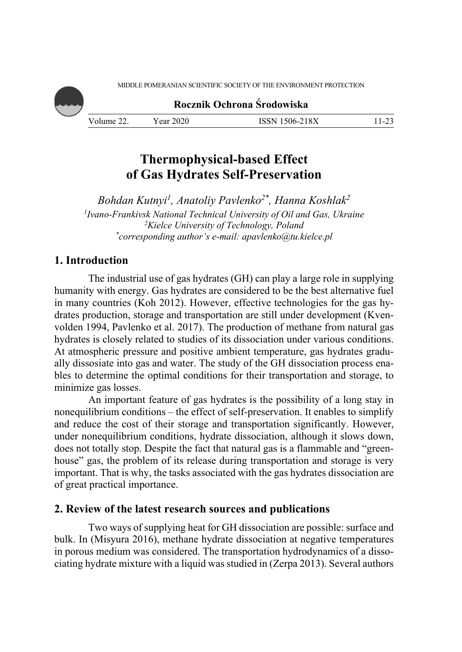MIDDLE POMERANIAN SCIENTIFIC SOCIETY OF THE ENVIRONMENT PROTECTION

**Rocznik Ochrona Środowiska**

Volume 22. Year 2020 ISSN 1506-218X 11-23

# **Thermophysical-based Effect of Gas Hydrates Self-Preservation**

*Bohdan Kutnyi1, Аnatoliy Pavlenko2\*, Hanna Koshlak2 1 Ivano-Frankivsk National Technical University of Oil and Gas, Ukraine 2 Kielce University of Technology, Poland \* corresponding author's e-mail: apavlenko@tu.kielce.pl* 

## **1. Introduction**

The industrial use of gas hydrates (GH) can play a large role in supplying humanity with energy. Gas hydrates are considered to be the best alternative fuel in many countries (Koh 2012). However, effective technologies for the gas hydrates production, storage and transportation are still under development (Kvenvolden 1994, Pavlenko et al. 2017). The production of methane from natural gas hydrates is closely related to studies of its dissociation under various conditions. At atmospheric pressure and positive ambient temperature, gas hydrates gradually dissosiate into gas and water. The study of the GH dissociation process enables to determine the optimal conditions for their transportation and storage, to minimize gas losses.

An important feature of gas hydrates is the possibility of a long stay in nonequilibrium conditions – the effect of self-preservation. It enables to simplify and reduce the cost of their storage and transportation significantly. However, under nonequilibrium conditions, hydrate dissociation, although it slows down, does not totally stop. Despite the fact that natural gas is a flammable and "greenhouse" gas, the problem of its release during transportation and storage is very important. That is why, the tasks associated with the gas hydrates dissociation are of great practical importance.

## **2. Review of the latest research sources and publications**

Two ways of supplying heat for GH dissociation are possible: surface and bulk. In (Misyura 2016), methane hydrate dissociation at negative temperatures in porous medium was considered. The transportation hydrodynamics of a dissociating hydrate mixture with a liquid was studied in (Zerpa 2013). Several authors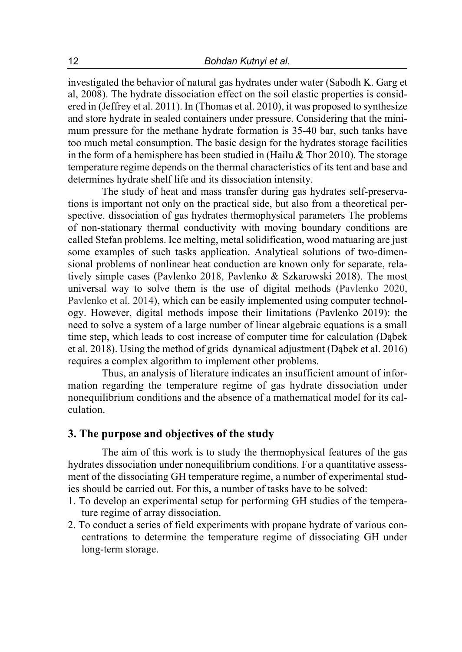investigated the behavior of natural gas hydrates under water (Sabodh K. Garg et al, 2008). The hydrate dissociation effect on the soil elastic properties is considered in (Jeffrey et al. 2011). In (Thomas et al. 2010), it was proposed to synthesize and store hydrate in sealed containers under pressure. Considering that the minimum pressure for the methane hydrate formation is 35-40 bar, such tanks have too much metal consumption. The basic design for the hydrates storage facilities in the form of a hemisphere has been studied in (Hailu & Thor 2010). The storage temperature regime depends on the thermal characteristics of its tent and base and determines hydrate shelf life and its dissociation intensity.

The study of heat and mass transfer during gas hydrates self-preservations is important not only on the practical side, but also from a theoretical perspective. dissociation of gas hydrates thermophysical parameters The problems of non-stationary thermal conductivity with moving boundary conditions are called Stefan problems. Ice melting, metal solidification, wood matuaring are just some examples of such tasks application. Analytical solutions of two-dimensional problems of nonlinear heat conduction are known only for separate, relatively simple cases (Pavlenko 2018, Pavlenko & Szkarowski 2018). The most universal way to solve them is the use of digital methods (Pavlenko 2020, Pavlenko et al. 2014), which can be easily implemented using computer technology. However, digital methods impose their limitations (Pavlenko 2019): the need to solve a system of a large number of linear algebraic equations is a small time step, which leads to cost increase of computer time for calculation (Dąbek et al. 2018). Using the method of grids dynamical adjustment (Dąbek et al. 2016) requires a complex algorithm to implement other problems.

Thus, an analysis of literature indicates an insufficient amount of information regarding the temperature regime of gas hydrate dissociation under nonequilibrium conditions and the absence of a mathematical model for its calculation.

## **3. The purpose and objectives of the study**

The aim of this work is to study the thermophysical features of the gas hydrates dissociation under nonequilibrium conditions. For a quantitative assessment of the dissociating GH temperature regime, a number of experimental studies should be carried out. For this, a number of tasks have to be solved:

- 1. To develop an experimental setup for performing GH studies of the temperature regime of array dissociation.
- 2. To conduct a series of field experiments with propane hydrate of various concentrations to determine the temperature regime of dissociating GH under long-term storage.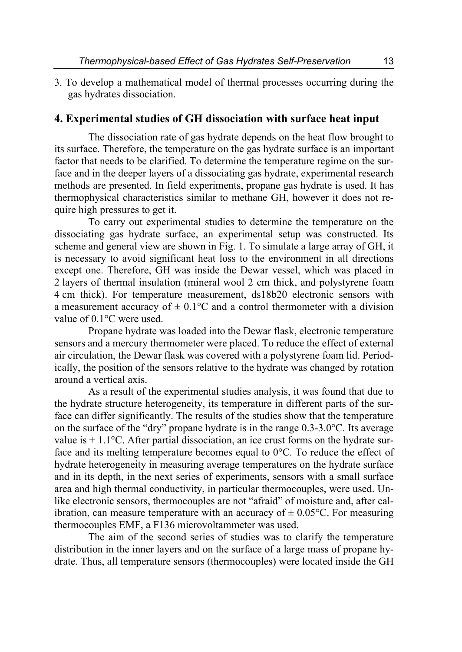3. To develop a mathematical model of thermal processes occurring during the gas hydrates dissociation.

## **4. Experimental studies of GH dissociation with surface heat input**

The dissociation rate of gas hydrate depends on the heat flow brought to its surface. Therefore, the temperature on the gas hydrate surface is an important factor that needs to be clarified. To determine the temperature regime on the surface and in the deeper layers of a dissociating gas hydrate, experimental research methods are presented. In field experiments, propane gas hydrate is used. It has thermophysical characteristics similar to methane GH, however it does not require high pressures to get it.

To carry out experimental studies to determine the temperature on the dissociating gas hydrate surface, an experimental setup was constructed. Its scheme and general view are shown in Fig. 1. To simulate a large array of GH, it is necessary to avoid significant heat loss to the environment in all directions except one. Therefore, GH was inside the Dewar vessel, which was placed in 2 layers of thermal insulation (mineral wool 2 cm thick, and polystyrene foam 4 cm thick). For temperature measurement, ds18b20 electronic sensors with a measurement accuracy of  $\pm$  0.1°C and a control thermometer with a division value of 0.1°C were used.

Propane hydrate was loaded into the Dewar flask, electronic temperature sensors and a mercury thermometer were placed. To reduce the effect of external air circulation, the Dewar flask was covered with a polystyrene foam lid. Periodically, the position of the sensors relative to the hydrate was changed by rotation around a vertical axis.

As a result of the experimental studies analysis, it was found that due to the hydrate structure heterogeneity, its temperature in different parts of the surface can differ significantly. The results of the studies show that the temperature on the surface of the "dry" propane hydrate is in the range 0.3-3.0°C. Its average value is  $+1.1$ °C. After partial dissociation, an ice crust forms on the hydrate surface and its melting temperature becomes equal to 0°C. To reduce the effect of hydrate heterogeneity in measuring average temperatures on the hydrate surface and in its depth, in the next series of experiments, sensors with a small surface area and high thermal conductivity, in particular thermocouples, were used. Unlike electronic sensors, thermocouples are not "afraid" of moisture and, after calibration, can measure temperature with an accuracy of  $\pm$  0.05°C. For measuring thermocouples EMF, a F136 microvoltammeter was used.

The aim of the second series of studies was to clarify the temperature distribution in the inner layers and on the surface of a large mass of propane hydrate. Thus, all temperature sensors (thermocouples) were located inside the GH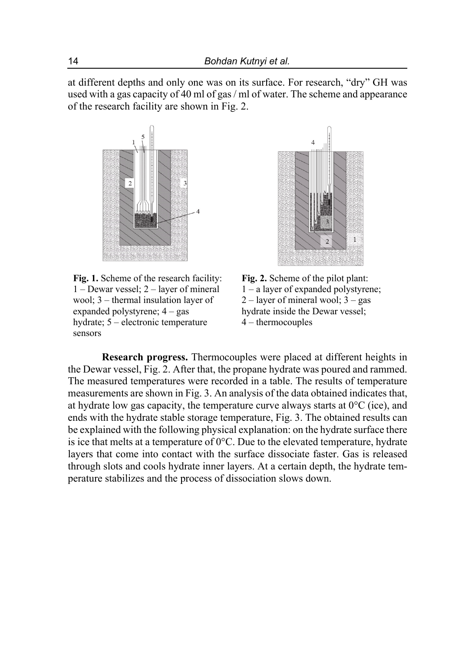at different depths and only one was on its surface. For research, "dry" GH was used with a gas capacity of 40 ml of gas / ml of water. The scheme and appearance of the research facility are shown in Fig. 2.



**Fig. 1.** Scheme of the research facility:  $1 -$ Dewar vessel;  $2 -$ layer of mineral wool;  $3$  – thermal insulation layer of expanded polystyrene;  $4 - gas$ hydrate; 5 – electronic temperature sensors



**Fig. 2.** Scheme of the pilot plant:  $1 - a$  layer of expanded polystyrene;  $2$  – layer of mineral wool;  $3 - gas$ hydrate inside the Dewar vessel; 4 ‒ thermocouples

**Research progress.** Thermocouples were placed at different heights in the Dewar vessel, Fig. 2. After that, the propane hydrate was poured and rammed. The measured temperatures were recorded in a table. The results of temperature measurements are shown in Fig. 3. An analysis of the data obtained indicates that, at hydrate low gas capacity, the temperature curve always starts at  $0^{\circ}$ C (ice), and ends with the hydrate stable storage temperature, Fig. 3. The obtained results can be explained with the following physical explanation: on the hydrate surface there is ice that melts at a temperature of  $0^{\circ}$ C. Due to the elevated temperature, hydrate layers that come into contact with the surface dissociate faster. Gas is released through slots and cools hydrate inner layers. At a certain depth, the hydrate temperature stabilizes and the process of dissociation slows down.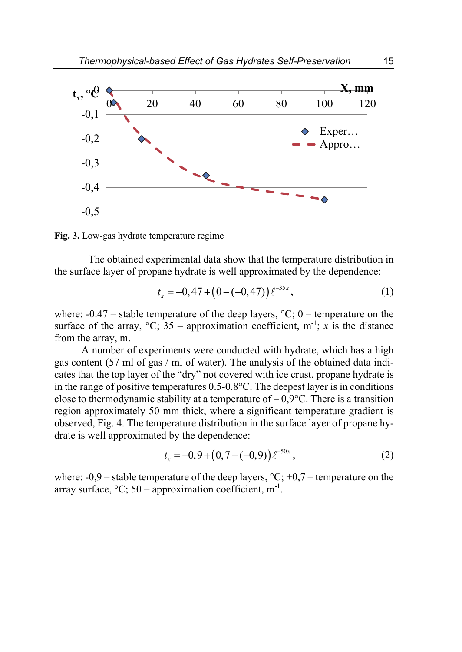

**Fig. 3.** Low-gas hydrate temperature regime

The obtained experimental data show that the temperature distribution in the surface layer of propane hydrate is well approximated by the dependence:

$$
t_x = -0,47 + (0 - (-0,47))\ell^{-35x},\tag{1}
$$

where:  $-0.47$  – stable temperature of the deep layers,  $°C$ ; 0 – temperature on the surface of the array,  ${}^{\circ}C$ ; 35 – approximation coefficient, m<sup>-1</sup>; *x* is the distance from the array, m.

A number of experiments were conducted with hydrate, which has a high gas content (57 ml of gas / ml of water). The analysis of the obtained data indicates that the top layer of the "dry" not covered with ice crust, propane hydrate is in the range of positive temperatures 0.5-0.8°C. The deepest layer is in conditions close to thermodynamic stability at a temperature of  $-0.9^{\circ}$ C. There is a transition region approximately 50 mm thick, where a significant temperature gradient is observed, Fig. 4. The temperature distribution in the surface layer of propane hydrate is well approximated by the dependence:

$$
t_x = -0.9 + (0.7 - (-0.9)) \, e^{-50x} \,, \tag{2}
$$

where:  $-0.9$  – stable temperature of the deep layers,  $\degree C$ ;  $+0.7$  – temperature on the array surface,  $\mathrm{^{\circ}C}$ ; 50 – approximation coefficient, m<sup>-1</sup>.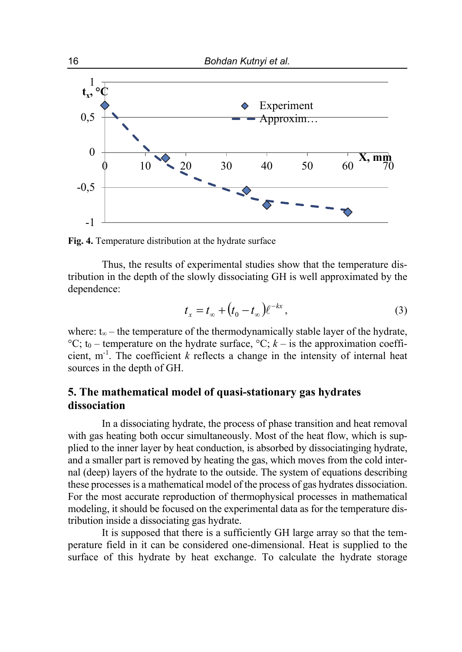

**Fig. 4.** Temperature distribution at the hydrate surface

Thus, the results of experimental studies show that the temperature distribution in the depth of the slowly dissociating GH is well approximated by the dependence:

$$
t_x = t_\infty + \left(t_0 - t_\infty\right)\ell^{-kx},\tag{3}
$$

where:  $t_{\infty}$  – the temperature of the thermodynamically stable layer of the hydrate,  ${}^{\circ}C$ ; t<sub>0</sub> – temperature on the hydrate surface,  ${}^{\circ}C$ ; *k* – is the approximation coefficient,  $m^{-1}$ . The coefficient  $k$  reflects a change in the intensity of internal heat sources in the depth of GH.

## **5. The mathematical model of quasi-stationary gas hydrates dissociation**

In a dissociating hydrate, the process of phase transition and heat removal with gas heating both occur simultaneously. Most of the heat flow, which is supplied to the inner layer by heat conduction, is absorbed by dissociatinging hydrate, and a smaller part is removed by heating the gas, which moves from the cold internal (deep) layers of the hydrate to the outside. The system of equations describing these processes is a mathematical model of the process of gas hydrates dissociation. For the most accurate reproduction of thermophysical processes in mathematical modeling, it should be focused on the experimental data as for the temperature distribution inside a dissociating gas hydrate.

It is supposed that there is a sufficiently GH large array so that the temperature field in it can be considered one-dimensional. Heat is supplied to the surface of this hydrate by heat exchange. To calculate the hydrate storage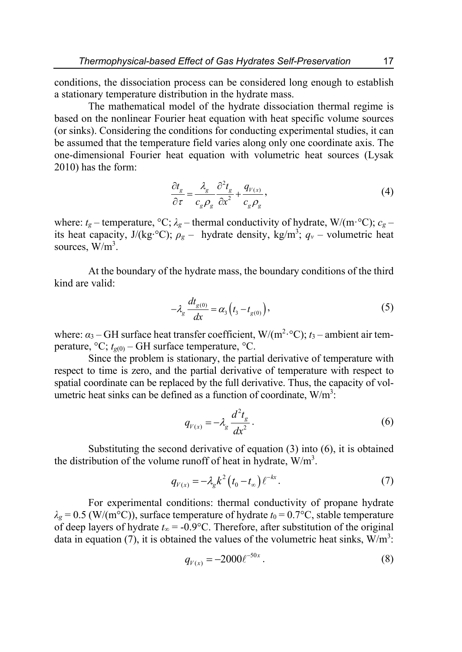conditions, the dissociation process can be considered long enough to establish a stationary temperature distribution in the hydrate mass.

The mathematical model of the hydrate dissociation thermal regime is based on the nonlinear Fourier heat equation with heat specific volume sources (or sinks). Considering the conditions for conducting experimental studies, it can be assumed that the temperature field varies along only one coordinate axis. The one-dimensional Fourier heat equation with volumetric heat sources (Lysak 2010) has the form:

$$
\frac{\partial t_g}{\partial \tau} = \frac{\lambda_g}{c_g \rho_g} \frac{\partial^2 t_g}{\partial x^2} + \frac{q_{V(x)}}{c_g \rho_g},\tag{4}
$$

where:  $t_g$  – temperature, °C;  $\lambda_g$  – thermal conductivity of hydrate, W/(m·°C);  $c_g$  – its heat capacity, J/(kg⋅°C);  $\rho_g$  – hydrate density, kg/m<sup>3</sup>;  $q_v$  – volumetric heat sources,  $\overline{W/m^3}$ .

At the boundary of the hydrate mass, the boundary conditions of the third kind are valid:

$$
-\lambda_g \frac{dt_{g(0)}}{dx} = \alpha_3 \left( t_3 - t_{g(0)} \right),\tag{5}
$$

where: *α*<sub>3</sub> − GH surface heat transfer coefficient, W/(m<sup>2</sup>⋅°C); *t*<sub>3</sub> − ambient air temperature,  $\mathrm{^{\circ}C}$ ;  $t_{g(0)}$  – GH surface temperature,  $\mathrm{^{\circ}C}$ .

Since the problem is stationary, the partial derivative of temperature with respect to time is zero, and the partial derivative of temperature with respect to spatial coordinate can be replaced by the full derivative. Thus, the capacity of volumetric heat sinks can be defined as a function of coordinate,  $W/m^3$ .

$$
q_{V(x)} = -\lambda_g \frac{d^2 t_g}{dx^2}.
$$
\n<sup>(6)</sup>

Substituting the second derivative of equation (3) into (6), it is obtained the distribution of the volume runoff of heat in hydrate,  $W/m<sup>3</sup>$ .

$$
q_{V(x)} = -\lambda_g k^2 \left( t_0 - t_\infty \right) \ell^{-kx} . \tag{7}
$$

For experimental conditions: thermal conductivity of propane hydrate  $\lambda_g = 0.5$  (W/(m<sup>o</sup>C)), surface temperature of hydrate  $t_0 = 0.7$ <sup>o</sup>C, stable temperature of deep layers of hydrate *t*∞ = -0.9°C. Therefore, after substitution of the original data in equation (7), it is obtained the values of the volumetric heat sinks,  $W/m<sup>3</sup>$ :

$$
q_{V(x)} = -2000 \ell^{-50x} \,. \tag{8}
$$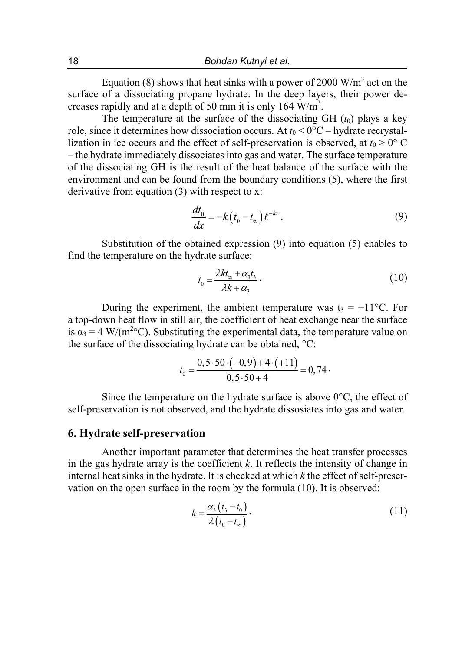Equation (8) shows that heat sinks with a power of 2000  $W/m<sup>3</sup>$  act on the surface of a dissociating propane hydrate. In the deep layers, their power decreases rapidly and at a depth of 50 mm it is only 164  $\text{W/m}^3$ .

The temperature at the surface of the dissociating  $GH (t_0)$  plays a key role, since it determines how dissociation occurs. At  $t_0 < 0$ °C – hydrate recrystallization in ice occurs and the effect of self-preservation is observed, at  $t_0 > 0$ ° C – the hydrate immediately dissociates into gas and water. The surface temperature of the dissociating GH is the result of the heat balance of the surface with the environment and can be found from the boundary conditions (5), where the first derivative from equation (3) with respect to x:

$$
\frac{dt_0}{dx} = -k(t_0 - t_\infty) \ell^{-kx} \,. \tag{9}
$$

Substitution of the obtained expression (9) into equation (5) enables to find the temperature on the hydrate surface:

$$
t_0 = \frac{\lambda k t_\infty + \alpha_3 t_3}{\lambda k + \alpha_3}.
$$
\n(10)

During the experiment, the ambient temperature was  $t_3 = +11$ °C. For a top-down heat flow in still air, the coefficient of heat exchange near the surface is  $\alpha_3 = 4 \text{ W/(m}^2 \text{°C)}$ . Substituting the experimental data, the temperature value on the surface of the dissociating hydrate can be obtained, °C:

$$
t_0 = \frac{0, 5 \cdot 50 \cdot (-0, 9) + 4 \cdot (+11)}{0, 5 \cdot 50 + 4} = 0, 74.
$$

Since the temperature on the hydrate surface is above  $0^{\circ}$ C, the effect of self-preservation is not observed, and the hydrate dissosiates into gas and water.

#### **6. Hydrate self-preservation**

Another important parameter that determines the heat transfer processes in the gas hydrate array is the coefficient *k*. It reflects the intensity of change in internal heat sinks in the hydrate. It is checked at which *k* the effect of self-preservation on the open surface in the room by the formula (10). It is observed:

$$
k = \frac{\alpha_3 (t_3 - t_0)}{\lambda (t_0 - t_\infty)}.
$$
\n<sup>(11)</sup>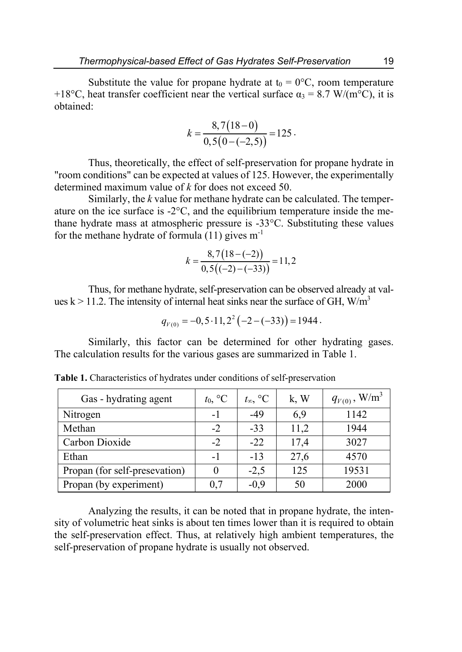Substitute the value for propane hydrate at  $t_0 = 0$ °C, room temperature +18°C, heat transfer coefficient near the vertical surface  $\alpha_3 = 8.7$  W/(m<sup>o</sup>C), it is obtained:

$$
k = \frac{8,7(18-0)}{0,5(0-(-2,5))} = 125.
$$

Thus, theoretically, the effect of self-preservation for propane hydrate in "room conditions" can be expected at values of 125. However, the experimentally determined maximum value of *k* for does not exceed 50.

Similarly, the *k* value for methane hydrate can be calculated. The temperature on the ice surface is -2°C, and the equilibrium temperature inside the methane hydrate mass at atmospheric pressure is -33°C. Substituting these values for the methane hydrate of formula  $(11)$  gives  $m^{-1}$ 

$$
k = \frac{8,7(18 - (-2))}{0,5((-2) - (-33))} = 11,2
$$

Thus, for methane hydrate, self-preservation can be observed already at values k > 11.2. The intensity of internal heat sinks near the surface of GH,  $W/m<sup>3</sup>$ 

$$
q_{V(0)} = -0.5 \cdot 11.2^2 \left( -2 - (-33) \right) = 1944.
$$

Similarly, this factor can be determined for other hydrating gases. The calculation results for the various gases are summarized in Table 1.

| Gas - hydrating agent         | $t_0$ , $\mathrm{C}$ | $t_{\infty}$ , $^{\circ}$ C | k, W | $q_{\rm {\tiny \it V(0)}}$ , $\rm W/m^3$ |
|-------------------------------|----------------------|-----------------------------|------|------------------------------------------|
| Nitrogen                      | $-1$                 | $-49$                       | 6,9  | 1142                                     |
| Methan                        | $-2$                 | $-33$                       | 11,2 | 1944                                     |
| Carbon Dioxide                | $-2$                 | $-22$                       | 17,4 | 3027                                     |
| Ethan                         |                      | $-13$                       | 27,6 | 4570                                     |
| Propan (for self-presevation) |                      | $-2,5$                      | 125  | 19531                                    |
| Propan (by experiment)        | 0.7                  | $-0.9$                      | 50   | 2000                                     |

**Table 1.** Characteristics of hydrates under conditions of self-preservation

Analyzing the results, it can be noted that in propane hydrate, the intensity of volumetric heat sinks is about ten times lower than it is required to obtain the self-preservation effect. Thus, at relatively high ambient temperatures, the self-preservation of propane hydrate is usually not observed.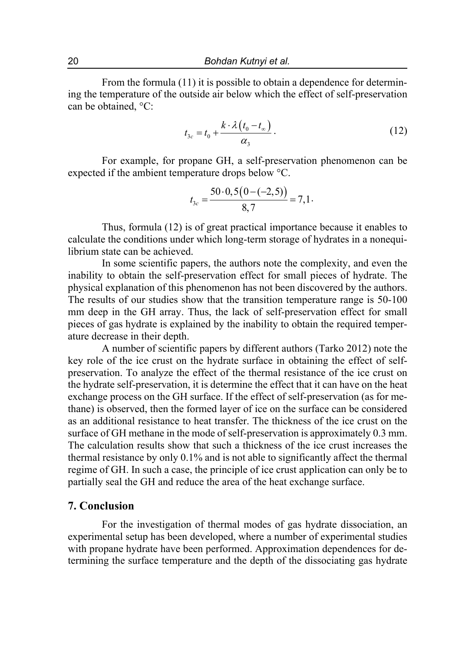From the formula (11) it is possible to obtain a dependence for determining the temperature of the outside air below which the effect of self-preservation can be obtained, °C:

$$
t_{3c} = t_0 + \frac{k \cdot \lambda (t_0 - t_\infty)}{\alpha_3}.
$$
 (12)

For example, for propane GH, a self-preservation phenomenon can be expected if the ambient temperature drops below °C.

$$
t_{3c} = \frac{50 \cdot 0, 5(0 - (-2, 5))}{8, 7} = 7, 1.
$$

Thus, formula (12) is of great practical importance because it enables to calculate the conditions under which long-term storage of hydrates in a nonequilibrium state can be achieved.

In some scientific papers, the authors note the complexity, and even the inability to obtain the self-preservation effect for small pieces of hydrate. The physical explanation of this phenomenon has not been discovered by the authors. The results of our studies show that the transition temperature range is 50-100 mm deep in the GH array. Thus, the lack of self-preservation effect for small pieces of gas hydrate is explained by the inability to obtain the required temperature decrease in their depth.

A number of scientific papers by different authors (Tarko 2012) note the key role of the ice crust on the hydrate surface in obtaining the effect of selfpreservation. To analyze the effect of the thermal resistance of the ice crust on the hydrate self-preservation, it is determine the effect that it can have on the heat exchange process on the GH surface. If the effect of self-preservation (as for methane) is observed, then the formed layer of ice on the surface can be considered as an additional resistance to heat transfer. The thickness of the ice crust on the surface of GH methane in the mode of self-preservation is approximately 0.3 mm. The calculation results show that such a thickness of the ice crust increases the thermal resistance by only 0.1% and is not able to significantly affect the thermal regime of GH. In such a case, the principle of ice crust application can only be to partially seal the GH and reduce the area of the heat exchange surface.

## **7. Conclusion**

For the investigation of thermal modes of gas hydrate dissociation, an experimental setup has been developed, where a number of experimental studies with propane hydrate have been performed. Approximation dependences for determining the surface temperature and the depth of the dissociating gas hydrate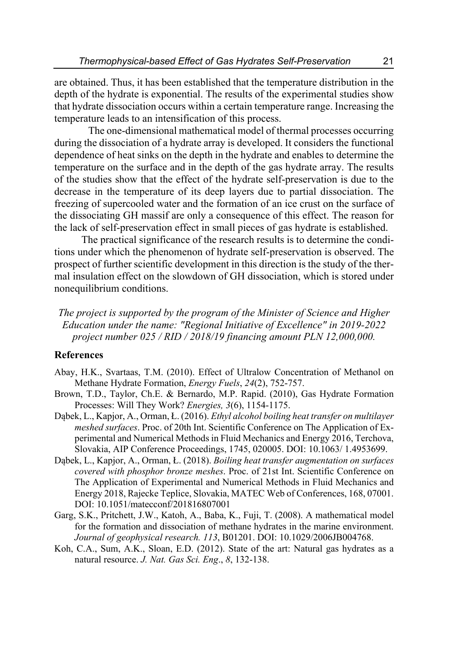are obtained. Thus, it has been established that the temperature distribution in the depth of the hydrate is exponential. The results of the experimental studies show that hydrate dissociation occurs within a certain temperature range. Increasing the temperature leads to an intensification of this process.

The one-dimensional mathematical model of thermal processes occurring during the dissociation of a hydrate array is developed. It considers the functional dependence of heat sinks on the depth in the hydrate and enables to determine the temperature on the surface and in the depth of the gas hydrate array. The results of the studies show that the effect of the hydrate self-preservation is due to the decrease in the temperature of its deep layers due to partial dissociation. The freezing of supercooled water and the formation of an ice crust on the surface of the dissociating GH massif are only a consequence of this effect. The reason for the lack of self-preservation effect in small pieces of gas hydrate is established.

The practical significance of the research results is to determine the conditions under which the phenomenon of hydrate self-preservation is observed. The prospect of further scientific development in this direction is the study of the thermal insulation effect on the slowdown of GH dissociation, which is stored under nonequilibrium conditions.

*The project is supported by the program of the Minister of Science and Higher Education under the name: "Regional Initiative of Excellence" in 2019-2022 project number 025 / RID / 2018/19 financing amount PLN 12,000,000.* 

## **References**

- Abay, H.K., Svartaas, T.M. (2010). Effect of Ultralow Concentration of Methanol on Methane Hydrate Formation, *Energy Fuels*, *24*(2), 752-757.
- Brown, T.D., Taylor, Ch.E. & Bernardo, M.P. Rapid. (2010), Gas Hydrate Formation Processes: Will They Work? *Energies, 3*(6), 1154-1175.
- Dąbek, L., Kapjor, A., Orman, Ł. (2016). *Ethyl alcohol boiling heat transfer on multilayer meshed surfaces*. Proc. of 20th Int. Scientific Conference on The Application of Experimental and Numerical Methods in Fluid Mechanics and Energy 2016, Terchova, Slovakia, AIP Conference Proceedings, 1745, 020005. DOI: 10.1063/ 1.4953699.
- Dąbek, L., Kapjor, A., Orman, Ł. (2018). *Boiling heat transfer augmentation on surfaces covered with phosphor bronze meshes*. Proc. of 21st Int. Scientific Conference on The Application of Experimental and Numerical Methods in Fluid Mechanics and Energy 2018, Rajecke Teplice, Slovakia, MATEC Web of Conferences, 168, 07001. DOI: 10.1051/matecconf/201816807001
- Garg, S.K., Pritchett, J.W., Katoh, A., Baba, K., Fuji, T. (2008). A mathematical model for the formation and dissociation of methane hydrates in the marine environment. *Journal of geophysical research. 113*, B01201. DOI: 10.1029/2006JB004768.
- Koh, C.A., Sum, A.K., Sloan, E.D. (2012). State of the art: Natural gas hydrates as a natural resource. *J. Nat. Gas Sci. Eng*., *8*, 132-138.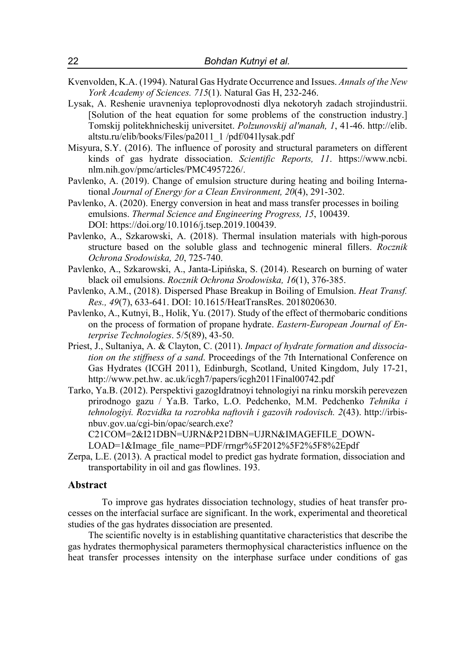- Kvenvolden, K.A. (1994). Natural Gas Hydrate Occurrence and Issues. *Annals of the New York Academy of Sciences. 715*(1). Natural Gas H, 232-246.
- Lysak, A. Reshenie uravneniya teploprovodnosti dlya nekotoryh zadach strojindustrii. [Solution of the heat equation for some problems of the construction industry.] Tomskij politekhnicheskij universitet. *Polzunovskij al'manah, 1*, 41-46. http://elib. altstu.ru/elib/books/Files/pa2011\_1 /pdf/041lysak.pdf
- Misyura, S.Y. (2016). The influence of porosity and structural parameters on different kinds of gas hydrate dissociation. *Scientific Reports, 11*. https://www.ncbi. nlm.nih.gov/pmc/articles/PMC4957226/.
- Pavlenko, A. (2019). Change of emulsion structure during heating and boiling International *Journal of Energy for a Clean Environment, 20*(4), 291-302.
- Pavlenko, A. (2020). Energy conversion in heat and mass transfer processes in boiling emulsions. *Thermal Science and Engineering Progress, 15*, 100439. DOI: https://doi.org/10.1016/j.tsep.2019.100439.
- Pavlenko, A., Szkarowski, A. (2018). Thermal insulation materials with high-porous structure based on the soluble glass and technogenic mineral fillers. *Rocznik Ochrona Srodowiska, 20*, 725-740.
- Pavlenko, A., Szkarowski, A., Janta-Lipińska, S. (2014). Research on burning of water black oil emulsions. *Rocznik Ochrona Srodowiska, 16*(1), 376-385.
- Pavlenko, A.M., (2018). Dispersed Phase Breakup in Boiling of Emulsion. *Heat Transf. Res., 49*(7), 633-641. DOI: 10.1615/HeatTransRes. 2018020630.
- Pavlenko, А., Kutnyi, B., Holik, Yu. (2017). Study of the effect of thermobaric conditions on the process of formation of propane hydrate. *Eastern-European Journal of Enterprise Technologies*. 5/5(89), 43-50.
- Priest, J., Sultaniya, A. & Clayton, C. (2011). *Impact of hydrate formation and dissociation on the stiffness of a sand*. Proceedings of the 7th International Conference on Gas Hydrates (ICGH 2011), Edinburgh, Scotland, United Kingdom, July 17-21, http://www.pet.hw. ac.uk/icgh7/papers/icgh2011Final00742.pdf
- Tarko, Ya.B. (2012). Perspektivi gazogIdratnoyi tehnologiyi na rinku morskih perevezen prirodnogo gazu / Ya.B. Tarko, L.O. Pedchenko, M.M. Pedchenko *Tehnika i tehnologiyi. Rozvidka ta rozrobka naftovih i gazovih rodovisch. 2*(43). http://irbisnbuv.gov.ua/cgi-bin/opac/search.exe?

C21COM=2&I21DBN=UJRN&P21DBN=UJRN&IMAGEFILE\_DOWN-LOAD=1&Image\_file\_name=PDF/rrngr%5F2012%5F2%5F8%2Epdf

Zerpa, L.E. (2013). A practical model to predict gas hydrate formation, dissociation and transportability in oil and gas flowlines. 193.

#### **Abstract**

To improve gas hydrates dissociation technology, studies of heat transfer processes on the interfacial surface are significant. In the work, experimental and theoretical studies of the gas hydrates dissociation are presented.

The scientific novelty is in establishing quantitative characteristics that describe the gas hydrates thermophysical parameters thermophysical characteristics influence on the heat transfer processes intensity on the interphase surface under conditions of gas